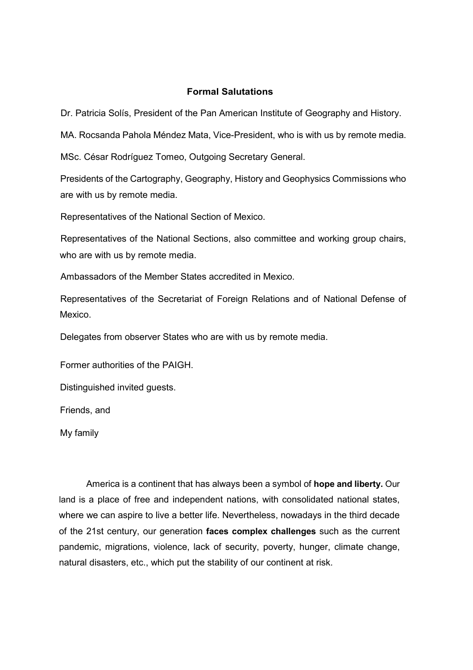## **Formal Salutations**

Dr. Patricia Solís, President of the Pan American Institute of Geography and History.

MA. Rocsanda Pahola Méndez Mata, Vice-President, who is with us by remote media.

MSc. César Rodríguez Tomeo, Outgoing Secretary General.

Presidents of the Cartography, Geography, History and Geophysics Commissions who are with us by remote media.

Representatives of the National Section of Mexico.

Representatives of the National Sections, also committee and working group chairs, who are with us by remote media.

Ambassadors of the Member States accredited in Mexico.

Representatives of the Secretariat of Foreign Relations and of National Defense of Mexico.

Delegates from observer States who are with us by remote media.

Former authorities of the PAIGH.

Distinguished invited guests.

Friends, and

My family

America is a continent that has always been a symbol of **hope and liberty.** Our land is a place of free and independent nations, with consolidated national states, where we can aspire to live a better life. Nevertheless, nowadays in the third decade of the 21st century, our generation **faces complex challenges** such as the current pandemic, migrations, violence, lack of security, poverty, hunger, climate change, natural disasters, etc., which put the stability of our continent at risk.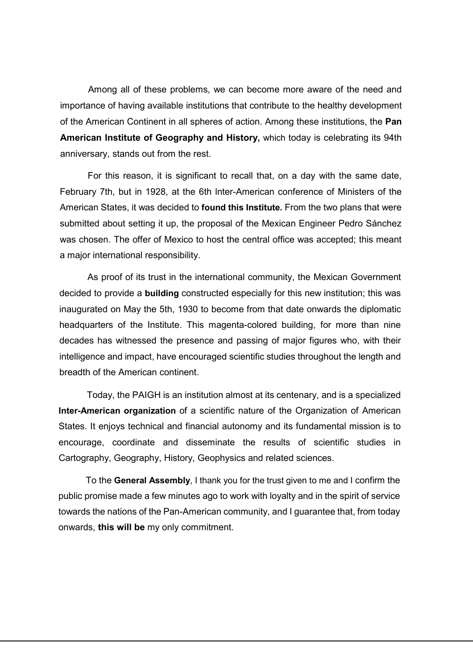Among all of these problems, we can become more aware of the need and importance of having available institutions that contribute to the healthy development of the American Continent in all spheres of action. Among these institutions, the **Pan American Institute of Geography and History,** which today is celebrating its 94th anniversary, stands out from the rest.

For this reason, it is significant to recall that, on a day with the same date, February 7th, but in 1928, at the 6th lnter-American conference of Ministers of the American States, it was decided to **found this Institute.** From the two plans that were submitted about setting it up, the proposal of the Mexican Engineer Pedro Sánchez was chosen. The offer of Mexico to host the central office was accepted; this meant a major international responsibility.

As proof of its trust in the international community, the Mexican Government decided to provide a **building** constructed especially for this new institution; this was inaugurated on May the 5th, 1930 to become from that date onwards the diplomatic headquarters of the Institute. This magenta-colored building, for more than nine decades has witnessed the presence and passing of major figures who, with their intelligence and impact, have encouraged scientific studies throughout the length and breadth of the American continent.

Today, the PAIGH is an institution almost at its centenary, and is a specialized **Inter-American organization** of a scientific nature of the Organization of American States. It enjoys technical and financial autonomy and its fundamental mission is to encourage, coordinate and disseminate the results of scientific studies in Cartography, Geography, History, Geophysics and related sciences.

To the **General Assembly**, I thank you for the trust given to me and I confirm the public promise made a few minutes ago to work with loyalty and in the spirit of service towards the nations of the Pan-American community, and I guarantee that, from today onwards, **this will be** my only commitment.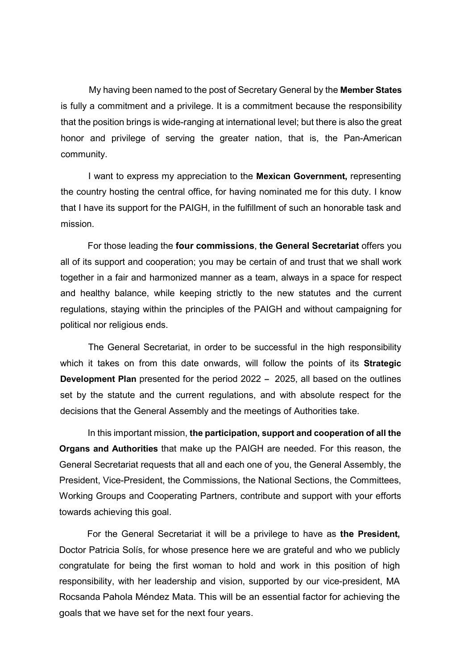My having been named to the post of Secretary General by the **Member States**  is fully a commitment and a privilege. It is a commitment because the responsibility that the position brings is wide-ranging at international level; but there is also the great honor and privilege of serving the greater nation, that is, the Pan-American community.

I want to express my appreciation to the **Mexican Government,** representing the country hosting the central office, for having nominated me for this duty. I know that I have its support for the PAIGH, in the fulfillment of such an honorable task and mission.

For those leading the **four commissions**, **the General Secretariat** offers you all of its support and cooperation; you may be certain of and trust that we shall work together in a fair and harmonized manner as a team, always in a space for respect and healthy balance, while keeping strictly to the new statutes and the current regulations, staying within the principles of the PAIGH and without campaigning for political nor religious ends.

The General Secretariat, in order to be successful in the high responsibility which it takes on from this date onwards, will follow the points of its **Strategic Development Plan** presented for the period 2022 - 2025, all based on the outlines set by the statute and the current regulations, and with absolute respect for the decisions that the General Assembly and the meetings of Authorities take.

In this important mission, **the participation, support and cooperation of all the Organs and Authorities** that make up the PAIGH are needed. For this reason, the General Secretariat requests that all and each one of you, the General Assembly, the President, Vice-President, the Commissions, the National Sections, the Committees, Working Groups and Cooperating Partners, contribute and support with your efforts towards achieving this goal.

For the General Secretariat it will be a privilege to have as **the President,** Doctor Patricia Solís, for whose presence here we are grateful and who we publicly congratulate for being the first woman to hold and work in this position of high responsibility, with her leadership and vision, supported by our vice-president, MA Rocsanda Pahola Méndez Mata. This will be an essential factor for achieving the goals that we have set for the next four years.